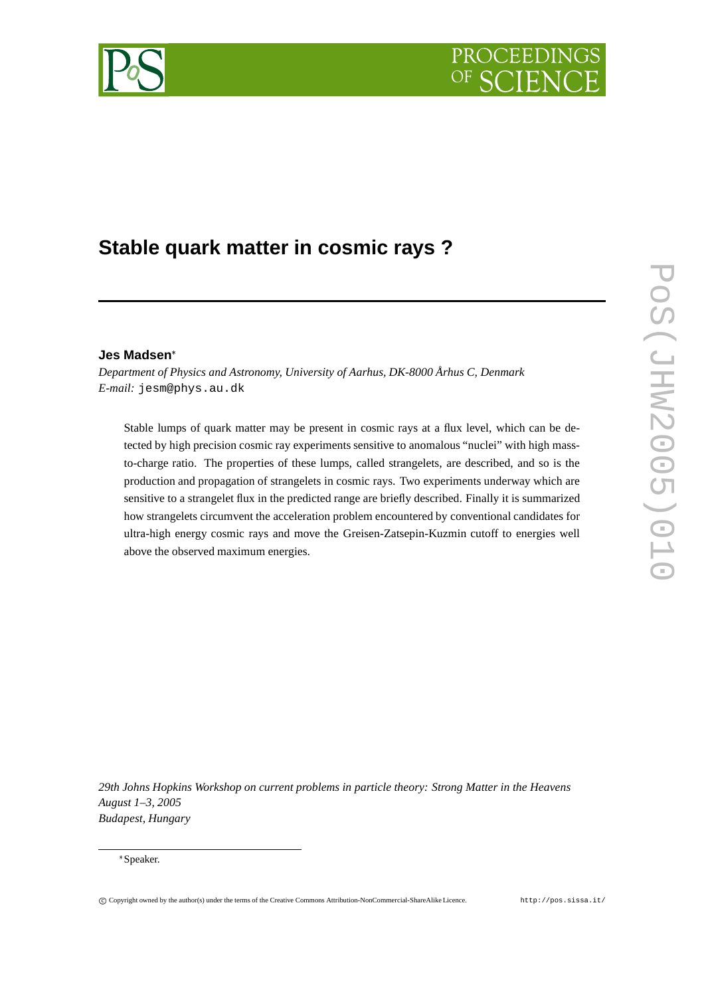# PROCEEDIN



# **Stable quark matter in cosmic rays ?**

# **Jes Madsen**

*Department of Physics and Astronomy, University of Aarhus, DK-8000 Århus C, Denmark E-mail:* jesm@phys.au.dk

Stable lumps of quark matter may be present in cosmic rays at a flux level, which can be detected by high precision cosmic ray experiments sensitive to anomalous "nuclei" with high massto-charge ratio. The properties of these lumps, called strangelets, are described, and so is the production and propagation of strangelets in cosmic rays. Two experiments underway which are sensitive to a strangelet flux in the predicted range are briefly described. Finally it is summarized how strangelets circumvent the acceleration problem encountered by conventional candidates for ultra-high energy cosmic rays and move the Greisen-Zatsepin-Kuzmin cutoff to energies well above the observed maximum energies.

*29th Johns Hopkins Workshop on current problems in particle theory: Strong Matter in the Heavens August 1–3, 2005 Budapest, Hungary*

Speaker.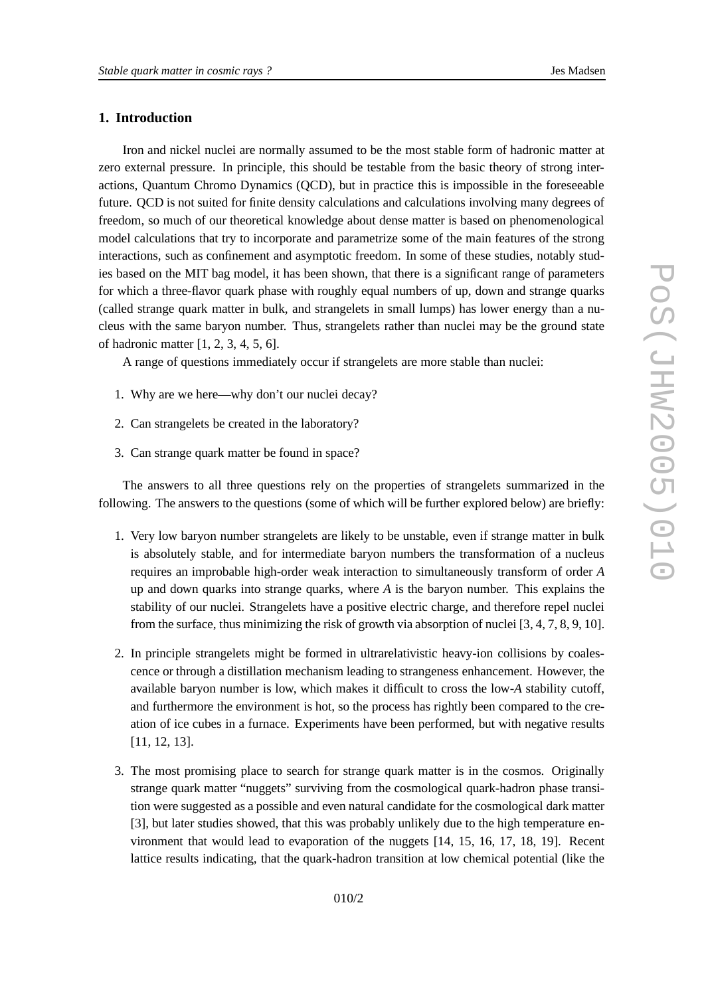# **1. Introduction**

Iron and nickel nuclei are normally assumed to be the most stable form of hadronic matter at zero external pressure. In principle, this should be testable from the basic theory of strong inter actions, Quantum Chromo Dynamics (QCD), but in practice this is impossible in the foreseeable future. QCD is not suited for finite density calculations and calculations involving many degrees of freedom, so much of our theoretical knowledge about dense matter is based on phenomenological model calculations that try to incorporate and parametrize some of the main features of the strong interactions, such as confinement and asymptotic freedom. In some of these studies, notably studies based on the MIT bag model, it has been shown, that there is a significant range of parameters for which a three-flavor quark phase with roughly equal numbers of up, down and strange quarks (called strange quark matter in bulk, and strangelets in small lumps) has lower energy than a nucleus with the same baryon number. Thus, strangelets rather than nuclei may be the ground state of hadronic matter [1, 2, 3, 4, 5, 6].

A range of questions immediately occur if strangelets are more stable than nuclei:

- 1. Why are we here—why don' t our nuclei decay?
- 2. Can strangelets be created in the laboratory?
- 3. Can strange quark matter be found in space?

The answers to all three questions rely on the properties of strangelets summarized in the following. The answers to the questions (some of which will be further explored below) are briefly:

- 1. Very lo w baryon number strangelets are likely to be unstable, e ven if strange matter in bulk is absolutely stable, and for intermediate baryon numbers the transformation of a nucleus requires an improbable high-order weak interaction to simultaneously transform of order *A* up and down quarks into strange quarks, where *A* is the baryon number . This explains the stability of our nuclei. Strangelets have a positive electric charge, and therefore repel nuclei from the surface, thus minimizing the risk of growth via absorption of nuclei [3, 4, 7, 8, 9, 10].
- 2. In principle strangelets might be formed in ultrarelativistic heavy-ion collisions by coalescence or through a distillation mechanism leading to strangeness enhancement. However, the available baryon number is low, which makes it difficult to cross the low-*A* stability cutoff, and furthermore the environment is hot, so the process has rightly been compared to the creation of ice cubes in a furnace. Experiments have been performed, but with negative results [11 , 12 , 13].
- 3. The most promising place to search for strange quark matter is in the cosmos. Originally strange quark matter "nuggets" surviving from the cosmological quark-hadron phase transition were suggested as a possible and even natural candidate for the cosmological dark matter [3], but later studies showed, that this was probably unlikely due to the high temperature environment that would lead to evaporation of the nuggets [14, 15, 16, 17, 18, 19]. Recent lattice results indicating, that the quark-hadron transition at lo w chemical potential (lik e the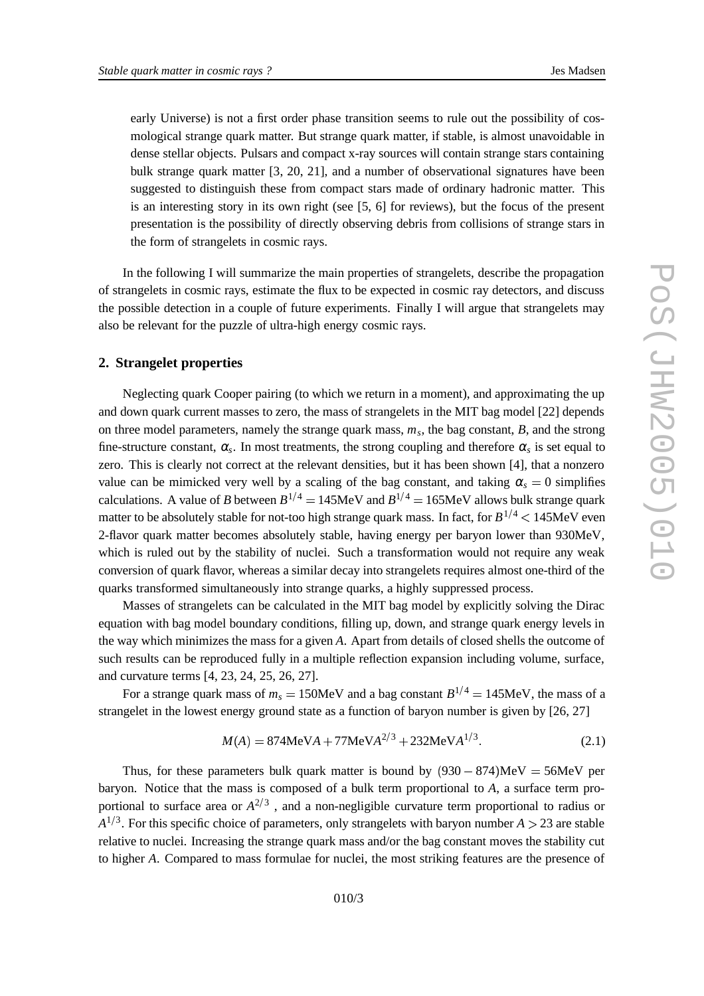early Universe) is not a first order phase transition seems to rule out the possibility of cosmological strange quark matter. But strange quark matter, if stable, is almost unavoidable in dense stellar objects. Pulsars and compact x-ray sources will contain strange stars containing bulk strange quark matter [3, 20, 21], and a number of observational signatures have been suggested to distinguish these from compact stars made of ordinary hadronic matter . This is an interesting story in its own right (see [5, 6] for reviews), but the focus of the present presentation is the possibility of directly observing debris from collisions of strange stars in the form of strangelets in cosmic rays.

In the following I will summarize the main properties of strangelets, describe the propagation of strangelets in cosmic rays, estimate the flux to be expected in cosmic ray detectors, and discuss the possible detection in a couple of future experiments. Finally I will argue that strangelets may also be rele vant for the puzzle of ultra-high energy cosmic rays.

# **2. Strangelet properties**

Neglecting quark Cooper pairing (to which we return in a moment), and approximating the up and down quark current masses to zero, the mass of strangelets in the MIT bag model [22 ] depends on three model parameters, namely the strange quark mass,  $m_s$ , the bag constant, B, and the strong fine-structure constant,  $\alpha_s$ . In most treatments, the strong coupling and therefore  $\alpha_s$  is set equal to zero. This is clearly not correct at the rele vant densities, but it has been shown [4], that a nonzero value can be mimicked very well by a scaling of the bag constant, and taking  $\alpha_s = 0$  simplifies calculations. A value of *B* between  $B^{1/4} = 145$ MeV and  $B^{1/4} = 165$ MeV allows bulk strange quark matter to be absolutely stable for not-too high strange quark mass. In fact, for  $B^{1/4}$  < 145MeV even 2-flavor quark matter becomes absolutely stable, having energy per baryon lower than 930MeV , which is ruled out by the stability of nuclei. Such a transformation would not require any weak conversion of quark flavor , whereas a similar decay into strangelets requires almost one-third of the quarks transformed simultaneously into strange quarks, a highly suppressed process.

Masses of strangelets can be calculated in the MIT bag model by explicitly solving the Dirac equation with bag model boundary conditions, filling up, down, and strange quark energy le vels in the way which minimizes the mass for a gi ven *A* . Apart from details of closed shells the outcome of such results can be reproduced fully in a multiple reflection expansion including volume, surface, and curvature terms [4, 23, 24, 25, 26, 27].

For a strange quark mass of  $m_s = 150 \text{MeV}$  and a bag constant  $B^{1/4} = 145 \text{MeV}$ , the mass of a strangelet in the lowest energy ground state as a function of baryon number is given by [26, 27]

$$
M(A) = 874 \text{MeVA} + 77 \text{MeVA}^{2/3} + 232 \text{MeVA}^{1/3}.
$$
 (2.1)

Thus, for these parameters bulk quark matter is bound by  $(930 - 874)$ MeV = 56MeV per baryon. Notice that the mass is composed of a bulk term proportional to A, a surface term proportional to surface area or  $A^{2/3}$ , and a non-negligible curvature term proportional to radius or  $A^{1/3}$ . For this specific choice of parameters, only strangelets with baryon number  $A > 23$  are stable relative to nuclei. Increasing the strange quark mass and/or the bag constant moves the stability cut to higher *A* . Compared to mass formulae for nuclei, the most striking features are the presence of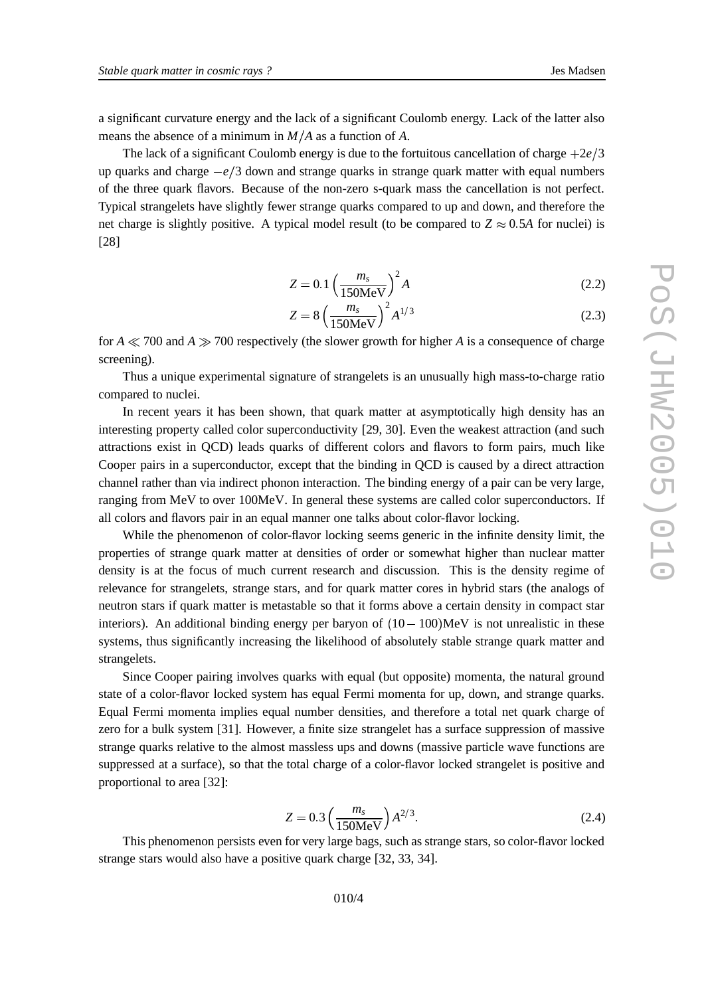a significant curvature energy and the lack of a significant Coulomb energy . Lack of the latter also means the absence of a minimum in  $M/A$  as a function of A.

The lack of a significant Coulomb energy is due to the fortuitous cancellation of charge  $+2e/3$ up quarks and charge  $-e/3$  down and strange quarks in strange quark matter with equal numbers of the three quark flavors. Because of the non-zero s-quark mass the cancellation is not perfect. Typical strangelets have slightly fewer strange quarks compared to up and down, and therefore the net charge is slightly positive. A typical model result (to be compared to  $Z \approx 0.5A$  for nuclei) is [28 ]

$$
Z = 0.1 \left(\frac{m_s}{150 \text{MeV}}\right)^2 A \tag{2.2}
$$

$$
Z = 8\left(\frac{m_s}{150\text{MeV}}\right)^2 A^{1/3} \tag{2.3}
$$

for  $A \ll 700$  and  $A \gg 700$  respectively (the slower growth for higher A is a consequence of charge screening).

Thus a unique experimental signature of strangelets is an unusually high mass-to-charge ratio compared to nuclei.

In recent years it has been shown, that quark matter at asymptotically high density has an interesting property called color superconductivity [29 , 30]. Even the weakest attraction (and such attractions exist in QCD) leads quarks of different colors and flavors to form pairs, much lik e Cooper pairs in a superconductor , except that the binding in QCD is caused by a direct attraction channel rather than via indirect phonon interaction. The binding energy of a pair can be very large, ranging from MeV to over 100MeV. In general these systems are called color superconductors. If all colors and flavors pair in an equal manner one talks about color-flavor locking.

While the phenomenon of color-flavor locking seems generic in the infinite density limit, the properties of strange quark matter at densities of order or somewhat higher than nuclear matter density is at the focus of much current research and discussion. This is the density regime of rele vance for strangelets, strange stars, and for quark matter cores in hybrid stars (the analogs of neutron stars if quark matter is metastable so that it forms above a certain density in compact star interiors). An additional binding energy per baryon of  $(10 - 100)$ MeV is not unrealistic in these systems, thus significantly increasing the likelihood of absolutely stable strange quark matter and strangelets.

Since Cooper pairing involves quarks with equal (but opposite) momenta, the natural ground state of a color-flavor locked system has equal Fermi momenta for up, down, and strange quarks. Equal Fermi momenta implies equal number densities, and therefore a total net quark charge of zero for a bulk system [31]. However, a finite size strangelet has a surface suppression of massive strange quarks relative to the almost massless ups and downs (massive particle wave functions are suppressed at a surface), so that the total charge of a color-flavor locked strangelet is positive and proportional to area [32]:

$$
Z = 0.3 \left(\frac{m_s}{150 \text{MeV}}\right) A^{2/3}.
$$
 (2.4)

This phenomenon persists e ven for very large bags, such as strange stars, so color-flavor locked strange stars would also have a positive quark charge [32, 33, 34].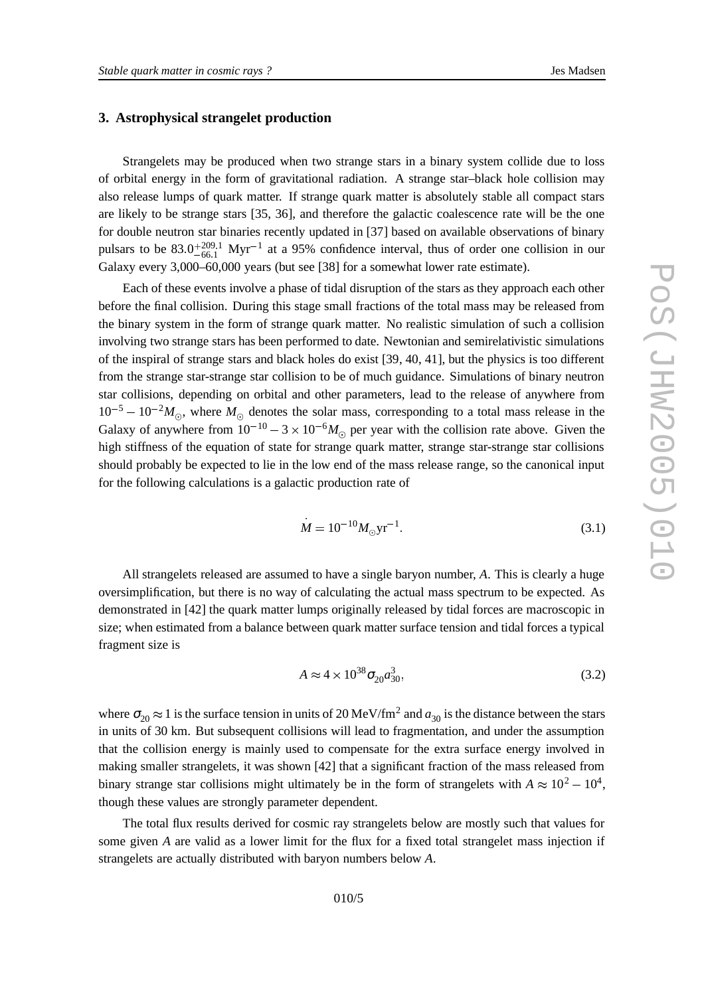#### **3. Astrophysical strangelet production**

Strangelets may be produced when tw o strange stars in a binary system collide due to loss of orbital energy in the form of gravitational radiation. A strange star–black hole collision may also release lumps of quark matter . If strange quark matter is absolutely stable all compact stars are likely to be strange stars [35 , 36], and therefore the galactic coalescence rate will be the one for double neutron star binaries recently updated in [37 ] based on available observations of binary pulsars to be  $83.0^{+209.1}_{-66.1}$  Myr<sup>-1</sup> at a 95% confidence interval, thus of order one collision in our Galaxy every 3,000–60,000 years (but see [38] for a somewhat lower rate estimate).

Each of these e vents involv e a phase of tidal disruption of the stars as the y approach each other before the final collision. During this stage small fractions of the total mass may be released from the binary system in the form of strange quark matter . No realistic simulation of such a collision involving tw o strange stars has been performed to date. Newtonian and semirelativistic simulations of the inspiral of strange stars and black holes do exist [39 , 40 , 41], but the physics is too different from the strange star-strange star collision to be of much guidance. Simulations of binary neutron star collisions, depending on orbital and other parameters, lead to the release of anywhere from  $10^{-5} - 10^{-2} M_{\odot}$ , where  $M_{\odot}$  denotes the solar mass, corresponding to a total mass release in the Galaxy of anywhere from  $10^{-10} - 3 \times 10^{-6} M_{\odot}$  per year with the collision rate above. Given the high stiffness of the equation of state for strange quark matter , strange star-strange star collisions should probably be expected to lie in the lo w end of the mass release range, so the canonical input for the following calculations is a galactic production rate of

$$
M = 10^{-10} M_{\odot} \text{yr}^{-1}.
$$
 (3.1)

All strangelets released are assumed to have a single baryon number, A. This is clearly a huge o versimplification, but there is no way of calculating the actual mass spectrum to be expected. As demonstrated in [42 ] the quark matter lumps originally released by tidal forces are macroscopic in size; when estimated from a balance between quark matter surface tension and tidal forces a typical fragment size is

$$
A \approx 4 \times 10^{38} \sigma_{20} a_{30}^3,
$$
\n
$$
(3.2)
$$

where  $\sigma_{20} \approx 1$  is the surface tension in units of 20 MeV/fm<sup>2</sup> and  $a_{30}$  is the distance between the stars in units of 30 km. But subsequent collisions will lead to fragmentation, and under the assumption that the collision energy is mainly used to compensate for the extra surface energy involved in making smaller strangelets, it was shown [42 ] that a significant fraction of the mass released from binary strange star collisions might ultimately be in the form of strangelets with  $A \approx 10^2 - 10^4$ , though these values are strongly parameter dependent.

The total flux results deri ved for cosmic ray strangelets belo w are mostly such that values for some given A are valid as a lower limit for the flux for a fixed total strangelet mass injection if strangelets are actually distributed with baryon numbers belo w *A* .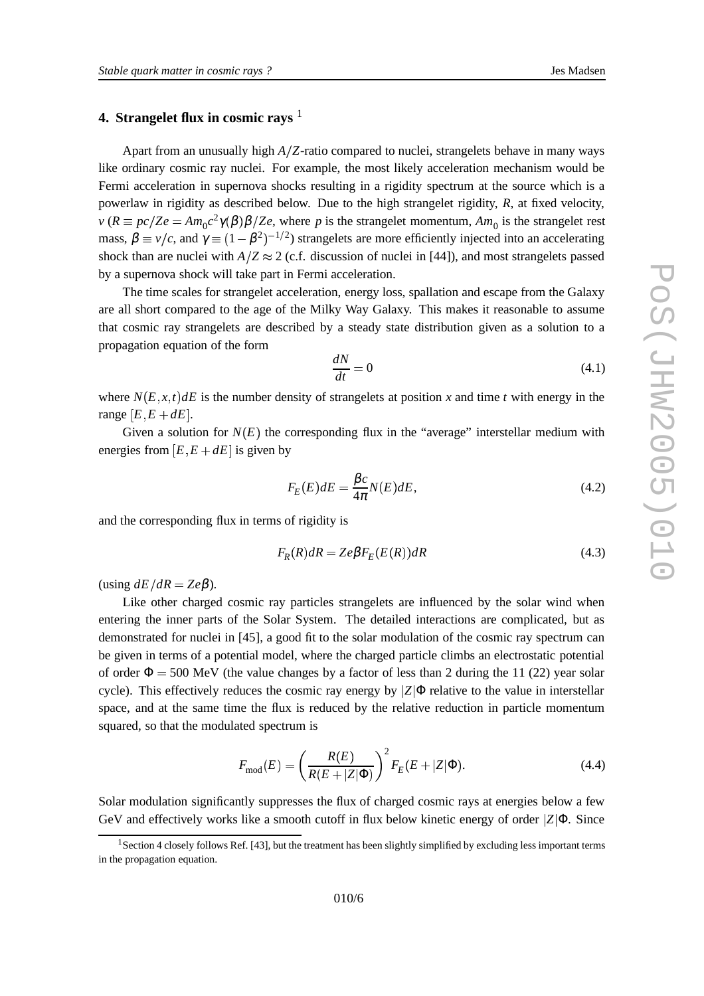# **4. Strangelet flux in cosmic rays** 1

Apart from an unusually high  $A/Z$ -ratio compared to nuclei, strangelets behave in many ways lik e ordinary cosmic ray nuclei. For example, the most likely acceleration mechanism would be Fermi acceleration in supernova shocks resulting in a rigidity spectrum at the source which is a powerlaw in rigidity as described below. Due to the high strangelet rigidity, R, at fixed velocity,  $\nu$  ( $R \equiv pc/Ze = Am_0c^2\gamma(\beta)\beta/Ze$ , where *p* is the strangelet momentum,  $Am_0$  is the strangelet rest mass,  $\beta \equiv v/c$ , and  $\gamma \equiv (1 - \beta^2)^{-1/2}$ ) strangelets are more efficiently injected into an accelerating shock than are nuclei with  $A/Z \approx 2$  (c.f. discussion of nuclei in [44]), and most strangelets passed by a supernova shock will take part in Fermi acceleration.

The time scales for strangelet acceleration, energy loss, spallation and escape from the Galaxy are all short compared to the age of the Milky Way Galaxy . This makes it reasonable to assume that cosmic ray strangelets are described by a steady state distribution given as a solution to a propagation equation of the form

$$
\frac{dN}{dt} = 0\tag{4.1}
$$

where  $N(E, x, t)$  *dE* is the number density of strangelets at position x and time t with energy in the range  $[E, E + dE]$ .

Given a solution for  $N(E)$  the corresponding flux in the "average" interstellar medium with energies from  $[E, E + dE]$  is given by

$$
F_E(E)dE = \frac{\beta c}{4\pi}N(E)dE,
$$
\n(4.2)

and the corresponding flux in terms of rigidity is

$$
F_R(R)dR = Ze\beta F_E(E(R))dR
$$
\n(4.3)

 $\frac{dE}{dR} = \frac{Ze\beta}{.}$ 

Lik e other charged cosmic ray particles strangelets are influenced by the solar wind when entering the inner parts of the Solar System. The detailed interactions are complicated, but as demonstrated for nuclei in [45], a good fit to the solar modulation of the cosmic ray spectrum can be gi ven in terms of a potential model, where the charged particle climbs an electrostatic potential of order  $\Phi = 500$  MeV (the value changes by a factor of less than 2 during the 11 (22) year solar cycle). This effectively reduces the cosmic ray energy by  $|Z|\Phi$  relative to the value in interstellar space, and at the same time the flux is reduced by the relative reduction in particle momentum squared, so that the modulated spectrum is

$$
F_{\text{mod}}(E) = \left(\frac{R(E)}{R(E+|Z|\Phi)}\right)^2 F_E(E+|Z|\Phi).
$$
 (4.4)

Solar modulation significantly suppresses the flux of charged cosmic rays at energies below a few GeV and effectively works like a smooth cutoff in flux below kinetic energy of order |Z|Φ. Since

<sup>&</sup>lt;sup>1</sup> Section 4 closely follows Ref. [43], but the treatment has been slightly simplified by excluding less important terms in the propagation equation.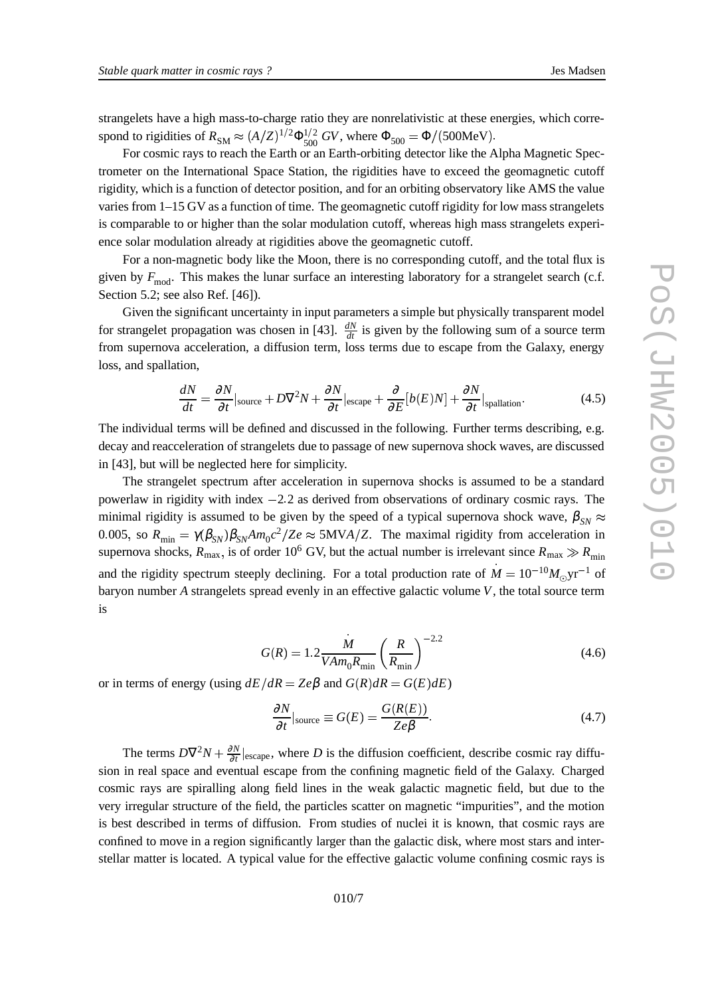strangelets hav e a high mass-to-charge ratio the y are nonrelativistic at these energies, which correspond to rigidities of  $R_{SM} \approx (A/Z)^{1/2} \Phi_{500}^{1/2}$  *GV*, where  $\Phi_{500} = \Phi/(500 \text{MeV})$ .

For cosmic rays to reach the Earth or an Earth-orbiting detector lik e the Alpha Magnetic Spectrometer on the International Space Station, the rigidities have to exceed the geomagnetic cutoff rigidity , which is a function of detector position, and for an orbiting observatory lik e AMS the value varies from 1-15 GV as a function of time. The geomagnetic cutoff rigidity for low mass strangelets is comparable to or higher than the solar modulation cutoff, whereas high mass strangelets experience solar modulation already at rigidities above the geomagnetic cutoff.

For a non-magnetic body like the Moon, there is no corresponding cutoff, and the total flux is given by  $F_{\text{mod}}$ . This makes the lunar surface an interesting laboratory for a strangelet search (c.f. Section 5.2; see also Ref. [46]).

Gi ven the significant uncertainty in input parameters a simple but physically transparent model for strangelet propagation was chosen in [43].  $\frac{dN}{dt}$  is given by the following sum of a source term from supernova acceleration, a diffusion term, loss terms due to escape from the Galaxy, energy loss, and spallation,

$$
\frac{dN}{dt} = \frac{\partial N}{\partial t}|_{\text{source}} + D\nabla^2 N + \frac{\partial N}{\partial t}|_{\text{escape}} + \frac{\partial}{\partial E}[b(E)N] + \frac{\partial N}{\partial t}|_{\text{spallation}}.\tag{4.5}
$$

The individual terms will be defined and discussed in the following. Further terms describing, e.g. decay and reacceleration of strangelets due to passage of new supernova shock waves, are discussed in [43], but will be neglected here for simplicity .

The strangelet spectrum after acceleration in supernova shocks is assumed to be a standard powerla w in rigidity with inde x 2 2 as deri ved from observations of ordinary cosmic rays. The minimal rigidity is assumed to be given by the speed of a typical supernova shock wave,  $\beta_{SN}$ 0.005, so  $R_{\min} = \gamma(\beta_{SN})\beta_{SN}Am_0c^2/Ze \approx 5MVA/Z$ . The maximal rigidity from acceleration in supernova shocks,  $R_{\text{max}}$ , is of order 10<sup>6</sup> GV, but the actual number is irrelevant since  $R_{\text{max}} \gg R_{\text{min}}$ and the rigidity spectrum steeply declining. For a total production rate of  $M = 10^{-10} M_{\odot} \text{yr}^{-1}$  of baryon number A strangelets spread evenly in an effective galactic volume V, the total source term is

$$
G(R) = 1.2 \frac{M}{V A m_0 R_{\min}} \left(\frac{R}{R_{\min}}\right)^{-2.2}
$$
 (4.6)

or in terms of energy (using  $dE/dR = Ze\beta$  and  $G(R)dR = G(E)dE$ ) 

$$
\frac{\partial N}{\partial t}|_{\text{source}} \equiv G(E) = \frac{G(R(E))}{Ze\beta}.
$$
\n(4.7)

The terms  $D\nabla^2 N + \frac{\partial N}{\partial t}|_{\text{escape}}$ , when  $\frac{\partial N}{\partial t}|_{\text{escape}}$ , where *D* is the diffusion coefficient, describe cosmic ray diffusion in real space and eventual escape from the confining magnetic field of the Galaxy. Charged cosmic rays are spiralling along field lines in the weak galactic magnetic field, but due to the very irregular structure of the field, the particles scatter on magnetic "impurities", and the motion is best described in terms of diffusion. From studies of nuclei it is known, that cosmic rays are confined to move in a region significantly larger than the galactic disk, where most stars and interstellar matter is located. A typical value for the effective galactic volume confining cosmic rays is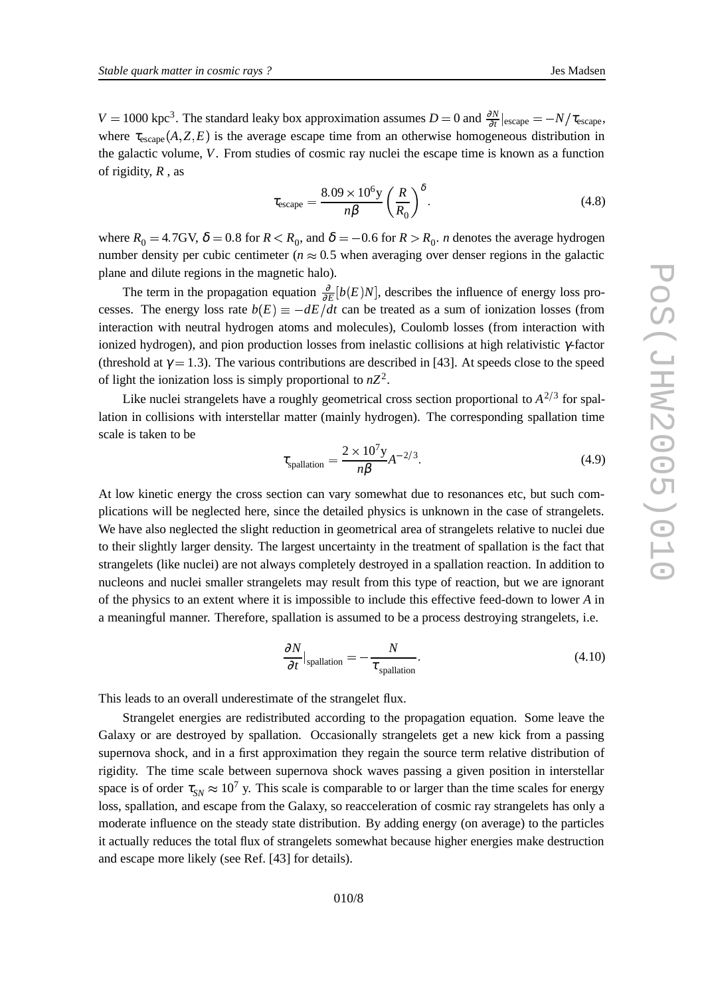$V = 1000 \text{ kpc}^3$ . The standard leaky box approximation assumes  $D = 0$  and  $\frac{\partial N}{\partial t}|_{\text{escape}}$  $\frac{\partial N}{\partial t}|_{\text{escape}} = -N/\tau_{\text{escape}},$ where  $\tau_{\text{escape}}(A, Z, E)$  is the average escape time from an otherwise homogeneous distribution in the galactic volume, *V* . From studies of cosmic ray nuclei the escape time is known as a function of rigidity , *R* , as

$$
\tau_{\text{escape}} = \frac{8.09 \times 10^6 \text{y}}{n\beta} \left(\frac{R}{R_0}\right)^{\delta}.
$$
\n(4.8)

where  $R_0 = 4.7$  GV,  $\delta = 0.8$  for  $R < R_0$ , and  $\delta = -0.6$  for  $R > R_0$ . *n* denotes the average hydrogen number density per cubic centimeter ( $n \approx 0.5$  when averaging over denser regions in the galactic plane and dilute regions in the magnetic halo).

The term in the propagation equation  $\frac{\partial}{\partial E}[b(E)N]$ , describes the influence of energy loss processes. The energy loss rate  $b(E) \equiv -dE/dt$  can be treated as a sum of ionization losses (from interaction with neutral hydrogen atoms and molecules), Coulomb losses (from interaction with ionized hydrogen), and pion production losses from inelastic collisions at high relativistic γ-factor (threshold at  $\gamma = 1.3$ ). The various contributions are described in [43]. At speeds close to the speed of light the ionization loss is simply proportional to  $nZ^2$ .

Like nuclei strangelets have a roughly geometrical cross section proportional to  $A^{2/3}$  for spallation in collisions with interstellar matter (mainly hydrogen). The corresponding spallation time scale is taken to be

$$
\tau_{\text{spallation}} = \frac{2 \times 10^7 \,\text{y}}{n\beta} A^{-2/3}.\tag{4.9}
$$

At lo w kinetic energy the cross section can vary somewhat due to resonances etc, but such complications will be neglected here, since the detailed physics is unknown in the case of strangelets. We have also neglected the slight reduction in geometrical area of strangelets relative to nuclei due to their slightly larger density . The largest uncertainty in the treatment of spallation is the fact that strangelets (lik e nuclei) are not al ways completely destroyed in a spallation reaction. In addition to nucleons and nuclei smaller strangelets may result from this type of reaction, but we are ignorant of the physics to an extent where it is impossible to include this effective feed-down to lower A in a meaningful manner . Therefore, spallation is assumed to be a process destroying strangelets, i.e.

$$
\frac{\partial N}{\partial t}\Big|_{\text{spallation}} = -\frac{N}{\tau_{\text{spallation}}}.\tag{4.10}
$$

This leads to an o verall underestimate of the strangelet flux.

Strangelet energies are redistributed according to the propagation equation. Some leav e the Galaxy or are destroyed by spallation. Occasionally strangelets get a ne w kick from a passing supernova shock, and in a first approximation they regain the source term relative distribution of rigidity. The time scale between supernova shock waves passing a given position in interstellar space is of order  $\tau_{SN} \approx 10^7$  y. This scale is comparable to or larger than the time scales for energy loss, spallation, and escape from the Galaxy, so reacceleration of cosmic ray strangelets has only a moderate influence on the steady state distribution. By adding energy (on average) to the particles it actually reduces the total flux of strangelets somewhat because higher energies mak e destruction and escape more likely (see Ref. [43 ] for details).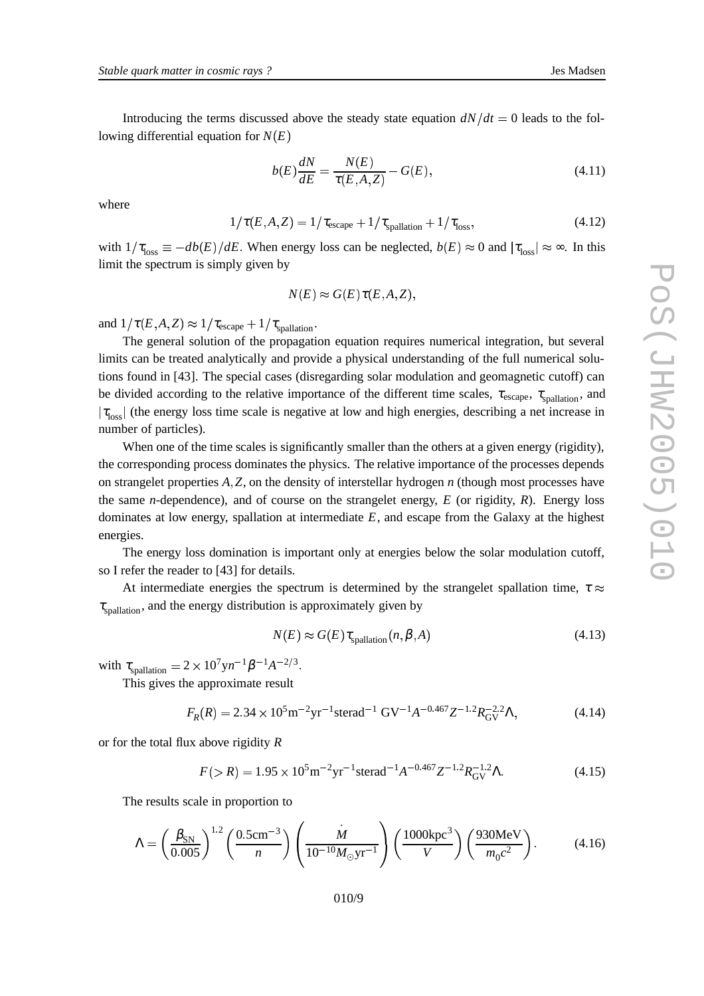Introducing the terms discussed above the steady state equation  $dN/dt = 0$  leads to the following differential equation for  $N(E)$ 

$$
b(E)\frac{dN}{dE} = \frac{N(E)}{\tau(E, A, Z)} - G(E),
$$
\n(4.11)

where

$$
1/\tau(E, A, Z) = 1/\tau_{\text{escape}} + 1/\tau_{\text{spallation}} + 1/\tau_{\text{loss}},
$$
\n(4.12)

with  $1/\tau_{\text{loss}} \equiv -db(E)/dE$ . When energy loss can be neglected,  $b(E) \approx 0$  and  $|\tau_{\text{loss}}| \approx \infty$ . In this limit the spectrum is simply given by

$$
N(E) \approx G(E)\tau(E,A,Z),
$$

and  $1/\tau(E,A,Z) \approx 1/\tau_{\text{escape}} + 1/\tau_{\text{spallation}}.$ 

The general solution of the propagation equation requires numerical integration, but se veral limits can be treated analytically and provide a physical understanding of the full numerical solutions found in [43]. The special cases (disregarding solar modulation and geomagnetic cutoff) can be divided according to the relative importance of the different time scales,  $\tau_{\text{escape}}$ ,  $\tau_{\text{spallation}}$ , and  $|\tau_{\text{loss}}|$  (the energy loss time scale is negative at low and high energies, describing a net increase in number of particles).

When one of the time scales is significantly smaller than the others at a given energy (rigidity), the corresponding process dominates the physics. The relati v e importance of the processes depends on strangelet properties *A Z* , on the density of interstellar hydrogen *n* (though most processes hav e the same *n*-dependence), and of course on the strangelet energy , *E* (or rigidity , *R*). Energy loss dominates at lo w energy , spallation at intermediate *E* , and escape from the Galaxy at the highest energies.

The energy loss domination is important only at energies belo w the solar modulation cutoff, so I refer the reader to [43 ] for details.

At intermediate energies the spectrum is determined by the strangelet spallation time,  $\tau$  $\tau_{\text{spallation}}$ , and the energy distribution is approximately given by

$$
N(E) \approx G(E) \tau_{\text{spallation}}(n, \beta, A) \tag{4.13}
$$

with  $\tau_{\text{spallation}} = 2 \times 10^7 \text{y} n^{-1} \beta^{-1} A^{-2/3}$ .

This gi ves the approximate result

$$
F_R(R) = 2.34 \times 10^5 \,\mathrm{m}^{-2} \mathrm{yr}^{-1} \,\mathrm{sterad}^{-1} \,\mathrm{GV}^{-1} A^{-0.467} Z^{-1.2} R_{\rm GV}^{-2.2} \Lambda,\tag{4.14}
$$

or for the total flux abo v e rigidity *R*

$$
F(>R) = 1.95 \times 10^5 \,\mathrm{m}^{-2} \mathrm{yr}^{-1} \, \mathrm{sterad}^{-1} A^{-0.467} Z^{-1.2} R_{\mathrm{GV}}^{-1.2} \Lambda. \tag{4.15}
$$

The results scale in proportion to

$$
\Lambda = \left(\frac{\beta_{\rm SN}}{0.005}\right)^{1.2} \left(\frac{0.5 \text{cm}^{-3}}{n}\right) \left(\frac{M}{10^{-10} M_{\odot} \text{yr}^{-1}}\right) \left(\frac{1000 \text{kpc}^3}{V}\right) \left(\frac{930 \text{MeV}}{m_0 c^2}\right). \tag{4.16}
$$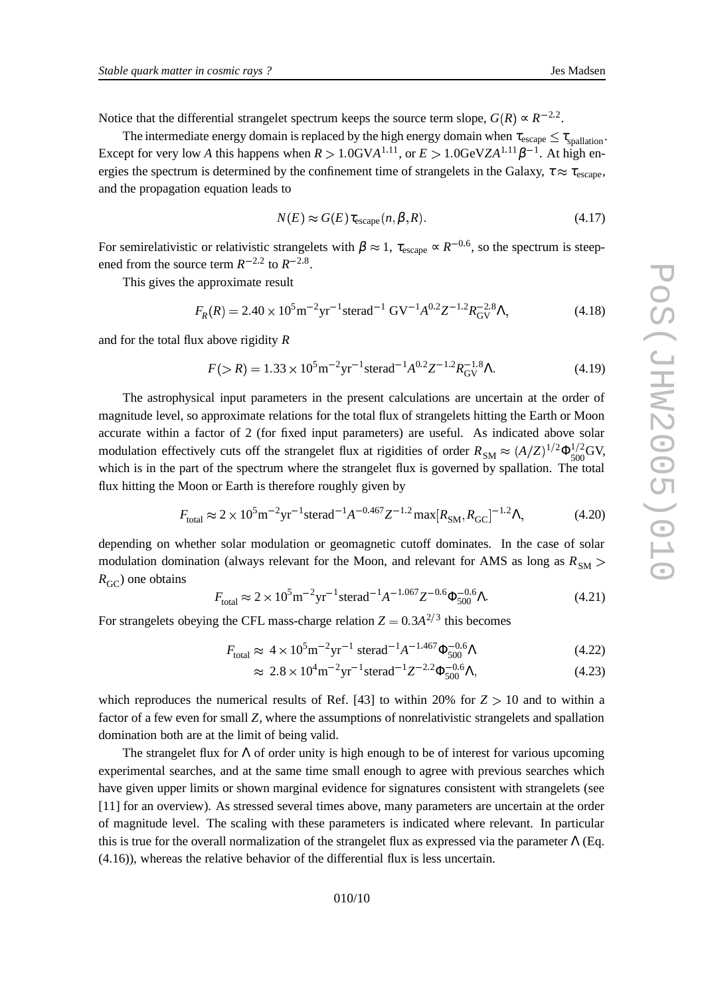The intermediate energy domain is replaced by the high energy domain when  $\tau_{\rm escape} \le \tau_{\rm spallation}$ . Except for very low A this happens when  $R > 1.0$  GVA<sup>1.11</sup>, or  $E > 1.0$  GeVZA<sup>1.11</sup> $\beta^{-1}$ . At high energies the spectrum is determined by the confinement time of strangelets in the Galaxy,  $\tau \approx \tau_{\text{escape}}$ , and the propagation equation leads to

$$
N(E) \approx G(E) \tau_{\text{escape}}(n, \beta, R). \tag{4.17}
$$

For semirelativistic or relativistic strangelets with  $\beta \approx 1$ ,  $\tau_{\text{escape}} \propto R^{-0.6}$ , so the spectrum is steepened from the source term  $R^{-2.2}$  to  $R^{-2.8}$ .

This gi ves the approximate result

$$
F_R(R) = 2.40 \times 10^5 \text{m}^{-2} \text{yr}^{-1} \text{sterad}^{-1} \text{ GV}^{-1} A^{0.2} Z^{-1.2} R_{\text{GV}}^{-2.8} \Lambda,
$$
 (4.18)

and for the total flux abo v e rigidity *R*

$$
F(>R) = 1.33 \times 10^5 \text{m}^{-2} \text{yr}^{-1} \text{sterad}^{-1} A^{0.2} Z^{-1.2} R_{\text{GV}}^{-1.8} \Lambda. \tag{4.19}
$$

The astrophysical input parameters in the present calculations are uncertain at the order of magnitude le vel, so approximate relations for the total flux of strangelets hitting the Earth or Moon accurate within a factor of 2 (for fixed input parameters) are useful. As indicated above solar modulation effectively cuts off the strangelet flux at rigidities of order  $R_{SM} \approx (A/Z)^{1/2} \Phi_{500}^{1/2}$ GV, which is in the part of the spectrum where the strangelet flux is governed by spallation. The total flux hitting the Moon or Earth is therefore roughly given by

$$
F_{\text{total}} \approx 2 \times 10^5 \text{m}^{-2} \text{yr}^{-1} \text{sterad}^{-1} A^{-0.467} Z^{-1.2} \text{max} [R_{\text{SM}}, R_{\text{GC}}]^{-1.2} \Lambda,\tag{4.20}
$$

depending on whether solar modulation or geomagnetic cutoff dominates. In the case of solar modulation domination (always relevant for the Moon, and relevant for AMS as long as  $R_{SM}$  $R$ <sub>GC</sub>) one obtains

$$
F_{\text{total}} \approx 2 \times 10^5 \text{m}^{-2} \text{yr}^{-1} \text{sterad}^{-1} A^{-1.067} Z^{-0.6} \Phi_{500}^{-0.6} \Lambda. \tag{4.21}
$$

For strangelets obeying the CFL mass-charge relation  $Z = 0.3A^{2/3}$  this becomes

$$
F_{\text{total}} \approx 4 \times 10^5 \text{m}^{-2} \text{yr}^{-1} \text{ sterad}^{-1} A^{-1.467} \Phi_{500}^{-0.6} \Lambda \tag{4.22}
$$

$$
\approx 2.8 \times 10^4 \text{m}^{-2} \text{yr}^{-1} \text{sterad}^{-1} Z^{-2.2} \Phi_{500}^{-0.6} \Lambda,
$$
 (4.23)

which reproduces the numerical results of Ref. [43] to within 20% for  $Z > 10$  and to within a factor of a few even for small Z, where the assumptions of nonrelativistic strangelets and spallation domination both are at the limit of being valid.

The strangelet flux for  $\Lambda$  of order unity is high enough to be of interest for various upcoming experimental searches, and at the same time small enough to agree with previous searches which have given upper limits or shown marginal evidence for signatures consistent with strangelets (see [11] for an overview). As stressed several times above, many parameters are uncertain at the order of magnitude level. The scaling with these parameters is indicated where relevant. In particular this is true for the overall normalization of the strangelet flux as expressed via the parameter  $\Lambda$  (Eq. (4.16)), whereas the relati v e behavior of the differential flux is less uncertain.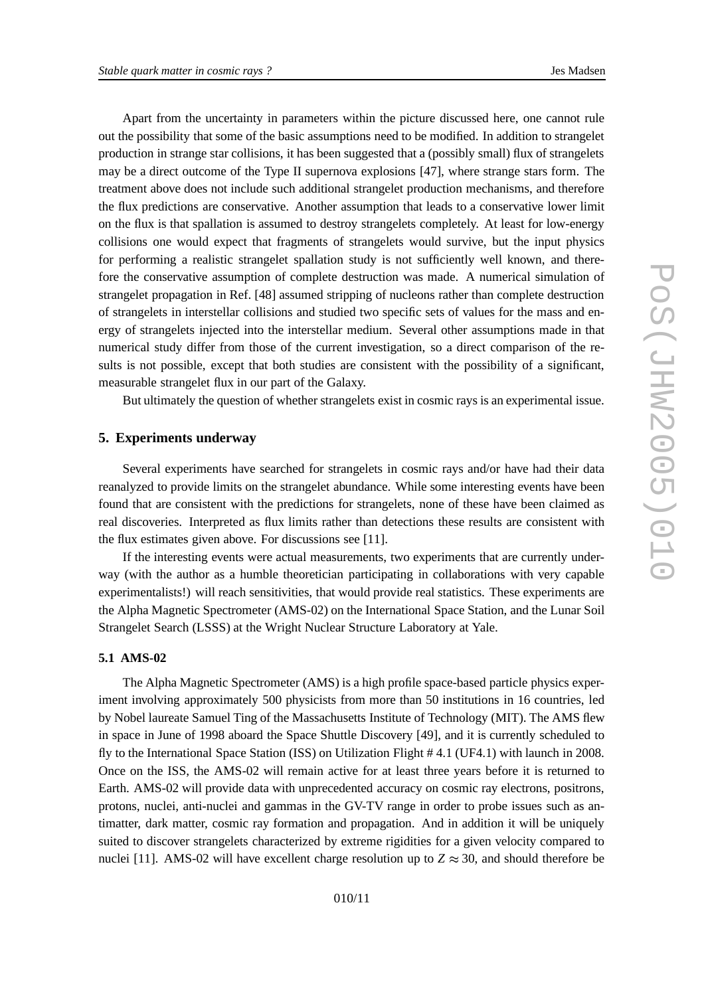Apart from the uncertainty in parameters within the picture discussed here, one cannot rule out the possibility that some of the basic assumptions need to be modified. In addition to strangelet production in strange star collisions, it has been suggested that a (possibly small) flux of strangelets may be a direct outcome of the Type II superno v a explosions [47], where strange stars form. The treatment abo v e does not include such additional strangelet production mechanisms, and therefore the flux predictions are conservative. Another assumption that leads to a conservative lower limit on the flux is that spallation is assumed to destro y strangelets completely . At least for low-energy collisions one would expect that fragments of strangelets would survive, but the input physics for performing a realistic strangelet spallation study is not sufficiently well known, and therefore the conservative assumption of complete destruction was made. A numerical simulation of strangelet propagation in Ref. [48 ] assumed stripping of nucleons rather than complete destruction of strangelets in interstellar collisions and studied tw o specific sets of values for the mass and energy of strangelets injected into the interstellar medium. Several other assumptions made in that numerical study differ from those of the current investigation, so a direct comparison of the results is not possible, except that both studies are consistent with the possibility of a significant, measurable strangelet flux in our part of the Galaxy .

But ultimately the question of whether strangelets exist in cosmic rays is an experimental issue.

#### **5. Experiments underway**

Several experiments have searched for strangelets in cosmic rays and/or have had their data reanalyzed to provide limits on the strangelet abundance. While some interesting events have been found that are consistent with the predictions for strangelets, none of these hav e been claimed as real disco veries. Interpreted as flux limits rather than detections these results are consistent with the flux estimates gi ven abo ve. For discussions see [11].

If the interesting events were actual measurements, two experiments that are currently underway (with the author as a humble theoretician participating in collaborations with very capable experimentalists!) will reach sensitivities, that would provide real statistics. These experiments are the Alpha Magnetic Spectrometer (AMS-02) on the International Space Station, and the Lunar Soil Strangelet Search (LSSS) at the Wright Nuclear Structure Laboratory at Yale.

#### **5.1 AMS-02**

The Alpha Magnetic Spectrometer (AMS) is a high profile space-based particle physics exper iment involving approximately 500 physicists from more than 50 institutions in 16 countries, led by Nobel laureate Samuel Ting of the Massachusetts Institute of Technology (MIT). The AMS fle w in space in June of 1998 aboard the Space Shuttle Disco very [49], and it is currently scheduled to fly to the International Space Station (ISS) on Utilization Flight # 4.1 (UF4.1) with launch in 2008. Once on the ISS, the AMS-02 will remain active for at least three years before it is returned to Earth. AMS-02 will provide data with unprecedented accurac y on cosmic ray electrons, positrons, protons, nuclei, anti-nuclei and gammas in the GV-TV range in order to probe issues such as antimatter, dark matter, cosmic ray formation and propagation. And in addition it will be uniquely suited to discover strangelets characterized by extreme rigidities for a given velocity compared to nuclei [11]. AMS-02 will have excellent charge resolution up to  $Z \approx 30$ , and should therefore be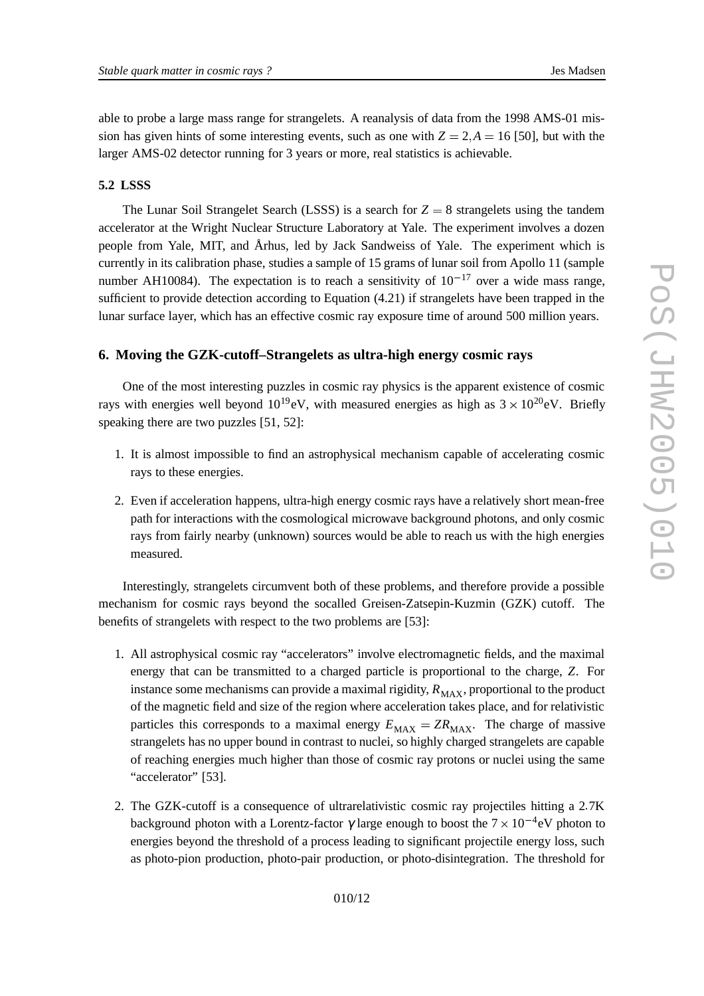able to probe a large mass range for strangelets. A reanalysis of data from the 1998 AMS-01 mission has given hints of some interesting events, such as one with  $Z = 2, A = 16$  [50], but with the larger AMS-02 detector running for 3 years or more, real statistics is achievable.

#### **5.2 LSSS**

The Lunar Soil Strangelet Search (LSSS) is a search for  $Z = 8$  strangelets using the tandem accelerator at the Wright Nuclear Structure Laboratory at Yale. The experiment involves a dozen people from Yale, MIT , and Århus, led by Jack Sandweiss of Yale. The experiment which is currently in its calibration phase, studies a sample of 15 grams of lunar soil from Apollo 11 (sample number AH10084). The expectation is to reach a sensitivity of  $10^{-17}$  over a wide mass range, sufficient to provide detection according to Equation (4.21) if strangelets hav e been trapped in the lunar surface layer , which has an effecti v e cosmic ray exposure time of around 500 million years.

### **6. Moving the GZK-cutoff–Strangelets as ultra-high energy cosmic rays**

One of the most interesting puzzles in cosmic ray physics is the apparent existence of cosmic rays with energies well beyond  $10^{19}$ eV, with measured energies as high as  $3 \times 10^{20}$ eV. Briefly speaking there are two puzzles [51, 52]:

- 1. It is almost impossible to find an astrophysical mechanism capable of accelerating cosmic rays to these energies.
- 2. Even if acceleration happens, ultra-high energy cosmic rays hav e a relati vely short mean-free path for interactions with the cosmological micro w av e background photons, and only cosmic rays from fairly nearby (unknown) sources would be able to reach us with the high energies measured.

Interestingly , strangelets circumvent both of these problems, and therefore provide a possible mechanism for cosmic rays beyond the socalled Greisen-Zatsepin-Kuzmin (GZK) cutoff. The benefits of strangelets with respect to the tw o problems are [53]:

- 1. All astrophysical cosmic ray "accelerators" involv e electromagnetic fields, and the maximal energy that can be transmitted to a charged particle is proportional to the charge, Z. For instance some mechanisms can provide a maximal rigidity,  $R_{\text{MAX}}$ , proportional to the product of the magnetic field and size of the region where acceleration takes place, and for relativistic particles this corresponds to a maximal energy  $E_{MAX} = ZR_{MAX}$ . The charge of massive strangelets has no upper bound in contrast to nuclei, so highly charged strangelets are capable of reaching energies much higher than those of cosmic ray protons or nuclei using the same "accelerator" [53].
- 2. The GZK-cutoff is a consequence of ultrarelativistic cosmic ray projectiles hitting a 2.7K background photon with a Lorentz-factor  $\gamma$  large enough to boost the  $7 \times 10^{-4} \text{eV}$  photon to energies beyond the threshold of a process leading to significant projectile energy loss, such as photo-pion production, photo-pair production, or photo-disintegration . The threshold for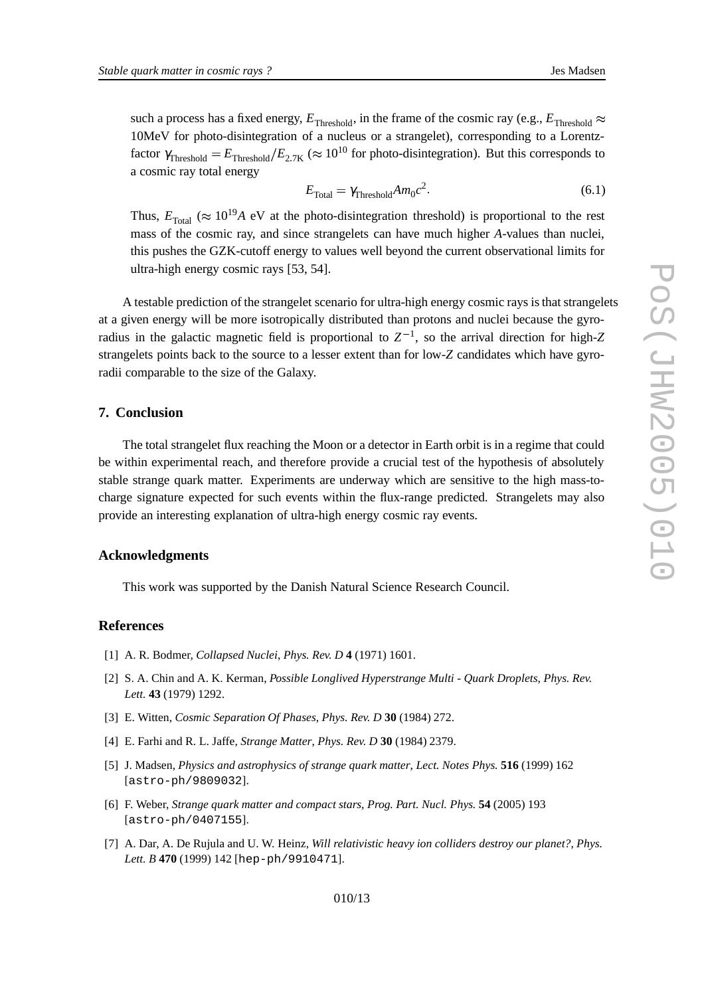such a process has a fixed energy,  $E_{\text{Threshold}}$ , in the frame of the cosmic ray (e.g.,  $E_{\text{Threshold}} \approx$ 10MeV for photo-disintegration of a nucleus or a strangelet), corresponding to a Lorentzfactor  $\gamma_{\text{Threshold}} = E_{\text{Threshold}}/E_{2.7\text{K}} \approx 10^{10}$  for photo-disintegration). But this corresponds to a cosmic ray total energy

$$
E_{\text{Total}} = \gamma_{\text{Threshold}} A m_0 c^2. \tag{6.1}
$$

Thus,  $E_{\text{Total}} \approx 10^{19} A$  eV at the photo-disintegration threshold) is proportional to the rest mass of the cosmic ray , and since strangelets can hav e much higher *A*-values than nuclei, this pushes the GZK-cutoff energy to values well beyond the current observational limits for ultra-high energy cosmic rays [53 , 54].

A testable prediction of the strangelet scenario for ultra-high energy cosmic rays isthat strangelets at a gi ven energy will be more isotropically distributed than protons and nuclei because the gyroradius in the galactic magnetic field is proportional to  $Z^{-1}$ , so the arrival direction for high-Z strangelets points back to the source to a lesser extent than for low-*Z* candidates which hav e gyroradii comparable to the size of the Galaxy.

# **7. Conclusion**

The total strangelet flux reaching the Moon or a detector in Earth orbit is in a regime that could be within experimental reach, and therefore provide a crucial test of the hypothesis of absolutely stable strange quark matter. Experiments are underway which are sensitive to the high mass-tocharge signature expected for such events within the flux-range predicted. Strangelets may also provide an interesting explanation of ultra-high energy cosmic ray events.

#### **Acknowledgments**

This work was supported by the Danish Natural Science Research Council.

#### **References**

- [1] A. R. Bodmer , *Collapsed Nuclei* , *Phys. Re v. D* **4** (1971) 1601.
- [2] S. A. Chin and A. K. Kerman, *Possible Longlived Hyperstrang e Multi - Quark Droplets* , *Phys. Re v. Lett.* **43** (1979) 1292.
- [3] E. Witten, *Cosmic Separation Of Phases* , *Phys. Re v. D* **30** (1984) 272.
- [4] E. Farhi and R. L. Jaffe, *Strang e Matter* , *Phys. Re v. D* **30** (1984) 2379.
- [5] J. Madsen, *Physics and astrophysics of strang e quark matter* , *Lect. Notes Phys.* **516** (1999) 162 [astro-ph/9809032].
- [6] F. Weber , *Strang e quark matter and compact stars* , *Pro g . Part. Nucl. Phys.* **54** (2005) 193 [astro-ph/0407155].
- [7] A. Dar , A. De Rujula and U. W. Heinz, *Will relativistic heavy ion colliders destroy our planet?* , *Phys. Lett. B* **470** (1999) 142 [hep-ph/9910471].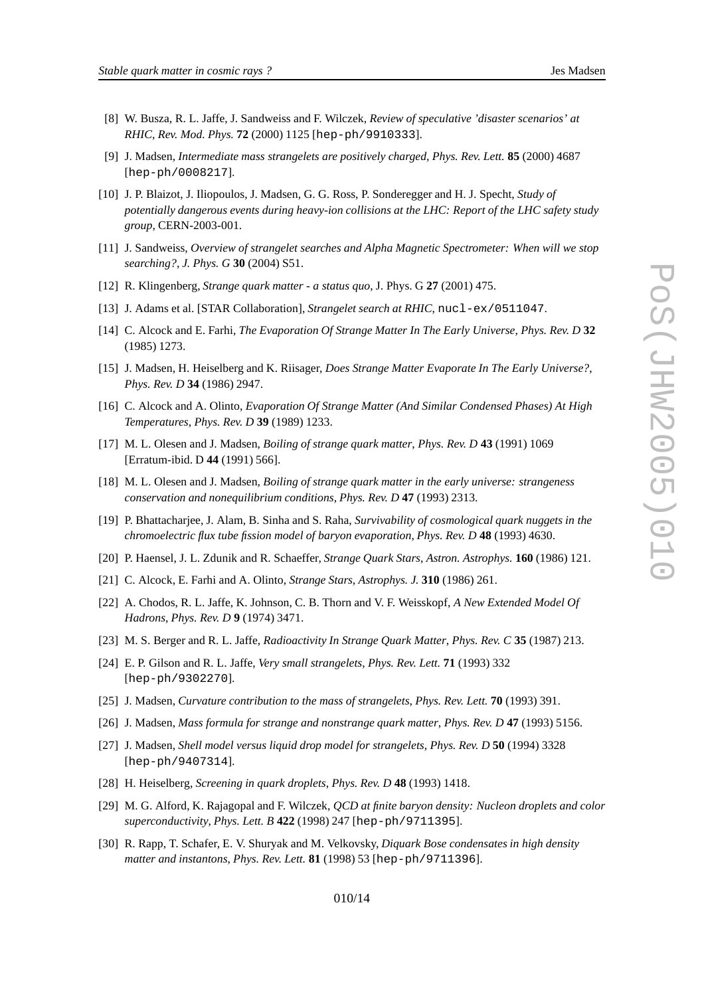- [8] W. Busza, R. L. Jaffe, J. Sandweiss and F. Wilczek, *Revie w of speculative 'disaster scenarios' at RHIC* , *Re v. Mod. Phys.* **72** (2000) 1125 [hep-ph/9910333].
- [9] J. Madsen, *Intermediate mass strangelets are positively charged* , *Phys. Re v. Lett.* **85** (2000) 4687 [hep-ph/0008217].
- [10] J. P. Blaizot, J. Iliopoulos, J. Madsen, G. G. Ross, P. Sonderegger and H. J. Specht, *Study of potentially dangerous events during heavy-ion collisions at the LHC: Report of the LHC safety study group* , CERN-2003-001.
- [11] J. Sandweiss, *Overvie w of strangelet searches and Alpha Magnetic Spectrometer: When will we stop searching?* , *J. Phys. G* **30** (2004) S51.
- [12] R. Klingenberg, *Strang e quark matter - a status quo* , J. Phys. G **27** (2001) 475.
- [13] J. Adams et al. [STAR Collaboration], *Strangelet searc h at RHIC* , nucl-ex/0511047 .
- [14] C. Alcock and E. Farhi, *The Evaporation Of Strang e Matter In The Early Universe* , *Phys. Re v. D* **32** (1985) 1273.
- [15] J. Madsen, H. Heiselber g and K. Riisager , *Does Strang e Matter Evaporate In The Early Universe?* , *Phys. Re v. D* **34** (1986) 2947.
- [16] C. Alcock and A. Olinto, *Evaporation Of Strang e Matter (And Similar Condensed Phases) At High Temperatures* , *Phys. Re v. D* **39** (1989) 1233.
- [17] M. L. Olesen and J. Madsen, *Boiling of strang e quark matter* , *Phys. Re v. D* **43** (1991) 1069 [Erratum-ibid. D **44** (1991) 566].
- [18] M. L. Olesen and J. Madsen, *Boiling of strang e quark matter in the early universe: strangeness conservation and nonequilibrium conditions* , *Phys. Re v. D* **47** (1993) 2313.
- [19] P. Bhattacharjee, J. Alam, B. Sinha and S. Raha, *Survivability of cosmological quark nuggets in the chromoelectric flux tube fission model of baryon evaporation* , *Phys. Re v. D* **48** (1993) 4630.
- [20] P. Haensel, J. L. Zdunik and R. Schaeffer , *Strang e Quark Stars* , *Astron. Astrophys.* **160** (1986) 121.
- [21] C. Alcock, E. Farhi and A. Olinto, *Strang e Stars* , *Astrophys. J.* **310** (1986) 261.
- [22] A. Chodos, R. L. Jaffe, K. Johnson, C. B. Thorn and V. F. Weisskopf, *A Ne w Extended Model Of Hadrons* , *Phys. Re v. D* **9** (1974) 3471.
- [23] M. S. Berger and R. L. Jaffe, *Radioactivity In Strang e Quark Matter* , *Phys. Re v. C* **35** (1987) 213.
- [24] E. P. Gilson and R. L. Jaffe, *Very small strangelets* , *Phys. Re v. Lett.* **71** (1993) 332 [hep-ph/9302270].
- [25] J. Madsen, *Curvature contribution to the mass of strangelets* , *Phys. Re v. Lett.* **70** (1993) 391.
- [26] J. Madsen, *Mass formula for strang e and nonstrang e quark matter* , *Phys. Re v. D* **47** (1993) 5156.
- [27] J. Madsen, *Shell model versus liquid drop model for strangelets* , *Phys. Re v. D* **50** (1994) 3328 [hep-ph/9407314].
- [28] H. Heiselberg, *Screening in quark droplets* , *Phys. Re v. D* **48** (1993) 1418.
- [29] M. G. Alford, K. Rajagopal and F. Wilczek, *QCD at finite baryon density: Nucleon droplets and color superconductivity* , *Phys. Lett. B* **422** (1998) 247 [hep-ph/9711395].
- [30] R. Rapp, T . Schafer , E. V. Shuryak and M. Velk ovsk y , *Diquark Bose condensates in high density matter and instantons* , *Phys. Re v. Lett.* **81** (1998) 53 [hep-ph/9711396].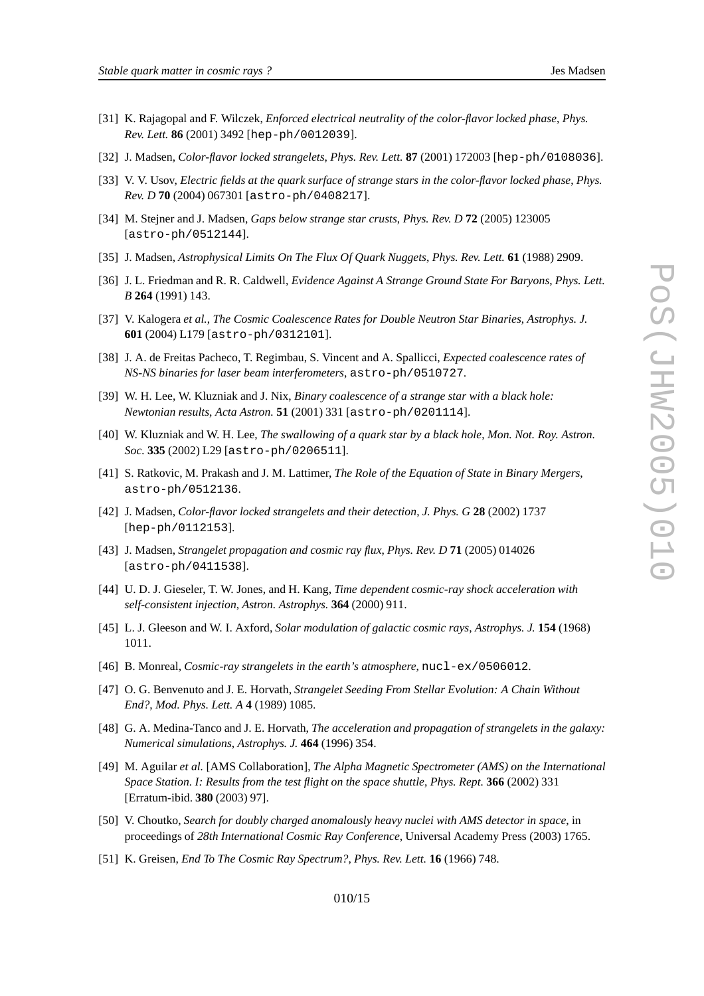- [31] K. Rajagopal and F. Wilczek, *Enforced electrical neutrality of the color-flavor loc ked phase* , *Phys. Re v. Lett.* **86** (2001) 3492 [hep-ph/0012039].
- [32] J. Madsen, *Color-flavor loc ked strangelets* , *Phys. Re v. Lett.* **87** (2001) 172003 [hep-ph/0108036].
- [33] V. V. Usov, Electric fields at the quark surface of strange stars in the color-flavor locked phase, Phys. *Re v. D* **70** (2004) 067301 [astro-ph/0408217].
- [34] M. Stejner and J. Madsen, *Gaps below strang e star crusts* , *Phys. Re v. D* **72** (2005) 123005 [astro-ph/0512144].
- [35] J. Madsen, *Astrophysical Limits On The Flux Of Quark Nug gets* , *Phys. Re v. Lett.* **61** (1988) 2909.
- [36] J. L. Friedman and R. R. Caldwell, *Evidence Against A Strang e Ground State For Baryons* , *Phys. Lett. B* **264** (1991) 143.
- [37] V. Kalogera *et al.* , *The Cosmic Coalescence Rates for Double Neutron Star Binaries* , *Astrophys. J.* **601** (2004) L179 [astro-ph/0312101].
- [38] J. A. de Freitas Pacheco, T . Regimbau, S. Vincent and A. Spallicci, *Expected coalescence rates of NS-NS binaries for laser beam interferometers* , astro-ph/0510727 .
- [39] W. H. Lee, W. Kluzniak and J. Nix, *Binary coalescence of a strang e star with a blac k hole: Newtonian results* , *Acta Astron.* **51** (2001) 331 [astro-ph/0201114].
- [40] W. Kluzniak and W. H. Lee, *The swallowing of a quark star by a blac k hole* , *Mon. Not. Roy. Astron. Soc.* **335** (2002) L29 [astro-ph/0206511].
- [41] S. Ratk ovic, M. Prakash and J. M. Lattimer , *The Role of the Equation of State in Binary Mergers* , astro-ph/0512136 .
- [42] J. Madsen, *Color-flavor loc ked strangelets and their detection* , *J. Phys. G* **28** (2002) 1737 [hep-ph/0112153].
- [43] J. Madsen, *Strangelet propagation and cosmic ray flux* , *Phys. Re v. D* **71** (2005) 014026 [astro-ph/0411538].
- [44] U. D. J. Gieseler , T . W. Jones, and H. Kang, *Time dependent cosmic-ray shoc k acceleration with self-consistent injection* , *Astron. Astrophys.* **364** (2000) 911.
- [45] L. J. Gleeson and W. I. Axford, *Solar modulation of galactic cosmic rays* , *Astrophys. J.* **154** (1968) 1011.
- [46] B. Monreal, *Cosmic-ray strangelets in the earth' s atmosphere* , nucl-ex/0506012 .
- [47] O. G. Ben venuto and J. E. Horvath, *Strangelet Seeding From Stellar Evolution: A Chain Without End?* , *Mod. Phys. Lett. A* **4** (1989) 1085.
- [48] G. A. Medina-Tanco and J. E. Horvath, *The acceleration and propagation of strangelets in the galaxy: Numerical simulations* , *Astrophys. J.* **464** (1996) 354.
- [49] M. Aguilar *et al.* [AMS Collaboration], *The Alpha Magnetic Spectrometer (AMS) on the International Space Station. I: Results from the test flight on the space shuttle* , *Phys. Rept.* **366** (2002) 331 [Erratum-ibid. **380** (2003) 97].
- [50] V. Choutko, *Searc h for doubly charged anomalously heavy nuclei with AMS detector in space* , in proceedings of *28th International Cosmic Ray Conference* , Uni versal Academy Press (2003) 1765.
- [51] K. Greisen, *End To The Cosmic Ray Spectrum?* , *Phys. Re v. Lett.* **16** (1966) 748.

010/15